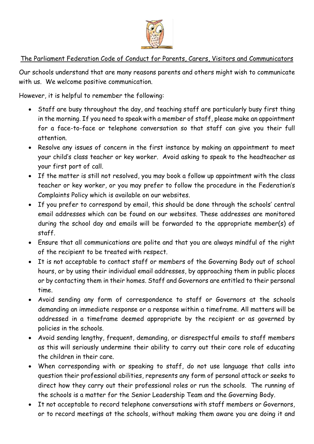

## The Parliament Federation Code of Conduct for Parents, Carers, Visitors and Communicators

Our schools understand that are many reasons parents and others might wish to communicate with us. We welcome positive communication.

However, it is helpful to remember the following:

- Staff are busy throughout the day, and teaching staff are particularly busy first thing in the morning. If you need to speak with a member of staff, please make an appointment for a face-to-face or telephone conversation so that staff can give you their full attention.
- Resolve any issues of concern in the first instance by making an appointment to meet your child's class teacher or key worker. Avoid asking to speak to the headteacher as your first port of call.
- If the matter is still not resolved, you may book a follow up appointment with the class teacher or key worker, or you may prefer to follow the procedure in the Federation's Complaints Policy which is available on our websites.
- If you prefer to correspond by email, this should be done through the schools' central email addresses which can be found on our websites. These addresses are monitored during the school day and emails will be forwarded to the appropriate member(s) of staff.
- Ensure that all communications are polite and that you are always mindful of the right of the recipient to be treated with respect.
- It is not acceptable to contact staff or members of the Governing Body out of school hours, or by using their individual email addresses, by approaching them in public places or by contacting them in their homes. Staff and Governors are entitled to their personal time.
- Avoid sending any form of correspondence to staff or Governors at the schools demanding an immediate response or a response within a timeframe. All matters will be addressed in a timeframe deemed appropriate by the recipient or as governed by policies in the schools.
- Avoid sending lengthy, frequent, demanding, or disrespectful emails to staff members as this will seriously undermine their ability to carry out their core role of educating the children in their care.
- When corresponding with or speaking to staff, do not use language that calls into question their professional abilities, represents any form of personal attack or seeks to direct how they carry out their professional roles or run the schools. The running of the schools is a matter for the Senior Leadership Team and the Governing Body.
- It not acceptable to record telephone conversations with staff members or Governors, or to record meetings at the schools, without making them aware you are doing it and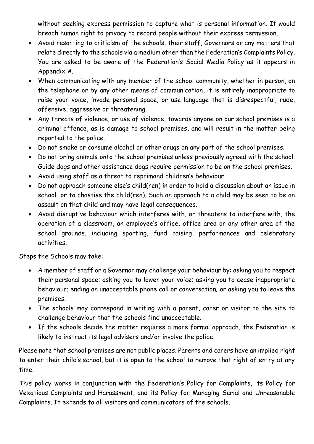without seeking express permission to capture what is personal information. It would breach human right to privacy to record people without their express permission.

- Avoid resorting to criticism of the schools, their staff, Governors or any matters that relate directly to the schools via a medium other than the Federation's Complaints Policy. You are asked to be aware of the Federation's Social Media Policy as it appears in Appendix A.
- When communicating with any member of the school community, whether in person, on the telephone or by any other means of communication, it is entirely inappropriate to raise your voice, invade personal space, or use language that is disrespectful, rude, offensive, aggressive or threatening.
- Any threats of violence, or use of violence, towards anyone on our school premises is a criminal offence, as is damage to school premises, and will result in the matter being reported to the police.
- Do not smoke or consume alcohol or other drugs on any part of the school premises.
- Do not bring animals onto the school premises unless previously agreed with the school. Guide dogs and other assistance dogs require permission to be on the school premises.
- Avoid using staff as a threat to reprimand children's behaviour.
- Do not approach someone else's child(ren) in order to hold a discussion about an issue in school or to chastise the child(ren). Such an approach to a child may be seen to be an assault on that child and may have legal consequences.
- Avoid disruptive behaviour which interferes with, or threatens to interfere with, the operation of a classroom, an employee's office, office area or any other area of the school grounds, including sporting, fund raising, performances and celebratory activities.

Steps the Schools may take:

- A member of staff or a Governor may challenge your behaviour by: asking you to respect their personal space; asking you to lower your voice; asking you to cease inappropriate behaviour; ending an unacceptable phone call or conversation; or asking you to leave the premises.
- The schools may correspond in writing with a parent, carer or visitor to the site to challenge behaviour that the schools find unacceptable.
- If the schools decide the matter requires a more formal approach, the Federation is likely to instruct its legal advisers and/or involve the police.

Please note that school premises are not public places. Parents and carers have an implied right to enter their child's school, but it is open to the school to remove that right of entry at any time.

This policy works in conjunction with the Federation's Policy for Complaints, its Policy for Vexatious Complaints and Harassment, and its Policy for Managing Serial and Unreasonable Complaints. It extends to all visitors and communicators of the schools.